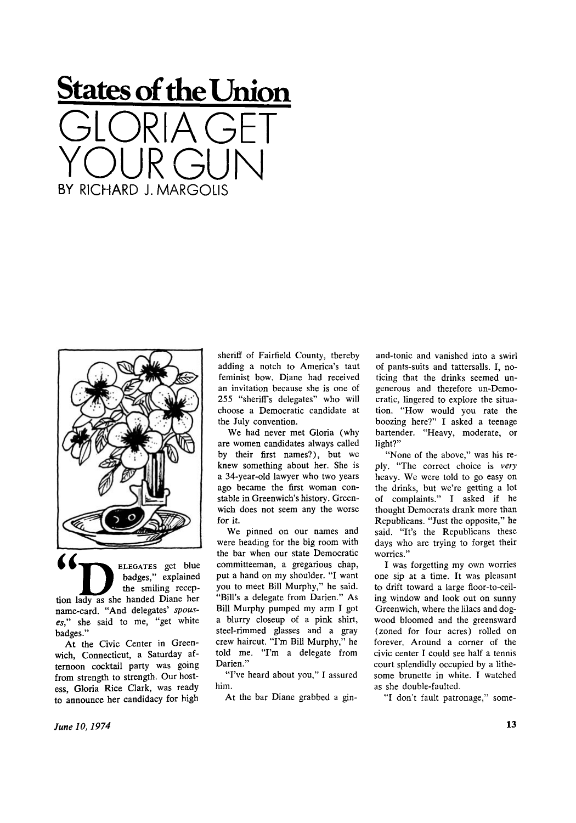## **States of the Union States of the Union**  GLORIA GET YOUR GUN BY RICHARD J. MARGOLIS BY RICHARD J. MARGOLIS **GLORIAGET**  YOUR GUN



name-card. "And delegates' spous*es,"* she said to me, "get white *es,"* she said to me, "get white badges." badges." badges," explained the smiling reception lady as she handed Diane her

At the Civic Center in Greenwich, Connecticut, a Saturday af-wich, Connecticut, a Saturday afternoon cocktail party was going ternoon cocktail party was going from strength to strength. Our host-from strength to strength. Our hostess, Gloria Rice Clark, was ready ess, Gloria Rice Clark, was ready to announce her candidacy for high to announce her candidacy for high

sheriff of Fairfield County, thereby sheriff of Fairfield County, thereby adding a notch to America's taut adding a notch to America's taut feminist bow. Diane had received feminist bow. Diane had received an invitation because she is one of an invitation because she is one of 255 "sheriff's delegates" who will 255 "sheriff's delegates" who will choose a Democratic candidate at choose a Democratic candidate at the July convention. the July convention.

We had never met Gloria (why We had never met Gloria (why are women candidates always called are women candidates always called by their first names?), but we by their first names?), but we knew something about her. She is knew something about her. She is a 34-year-old lawyer who two years a 34-year-old lawyer who two years ago became the first woman con-ago became the first woman constable in Greenwich's history. Green-stable in Greenwich's history. Greenwich does not seem any the worse wich does not seem any the worse for it. for it.

We pinned on our names and We pinned on our names and were heading for the big room with were heading for the big room with the bar when our state Democratic the bar when our state Democratic committeeman, a gregarious chap, committeeman, a gregarious chap, put a hand on my shoulder. "I want put a hand on my shoulder. "I want you to meet Bill Murphy," he said. you to meet BiII Murphy," he said. "Bill's a delegate from Darien." As "BiII's a delegate from Darien." As Bill Murphy pumped my arm I got Bill Murphy pumped my arm I got a blurry closeup of a pink shirt, a blurry closeup of a pink shirt, steel-rimmed glasses and a gray steel-rimmed glasses and a gray crew haircut. "I'm Bill Murphy," he crew haircut. "I'm Bill Murphy," he told me. "I'm a delegate from told me. ''I'm a delegate from Darien."

"I've heard about you," I assured Darien." "I've heard about you," I assured him. him.

At the bar Diane grabbed a gin-

and-tonic and vanished into a swirl and-tonic and vanished into a swirl of pants-suits and tattersalls. I, no-of pants-suits and tattersalls. I, noticing that the drinks seemed un-ticing that the drinks seemed ungenerous and therefore un-Demo-generous and therefore un-Democratic, lingered to explore the situa-cratic, lingered to explore the situation. "How would you rate the tion. "How would you rate the boozing here?" I asked a teenage boozing here?" I asked a teenage bartender. "Heavy, moderate, or bartender. "Heavy, moderate, or light?" light?"

"None of the above," was his reply. "The correct choice is *very*  ply. "The correct choice is very heavy. We were told to go easy on heavy. We were told to go easy on the drinks, but we're getting a lot the drinks, but we're getting a lot of complaints." I asked if he thought Democrats drank more than thought Democrats drank more than Republicans. "Just the opposite," he Republicans. "Just the opposite," he said. "It's the Republicans these days who are trying to forget their days who are trying to forget their worries." **worries."** 

I was forgetting my own worries I was forgetting my own worries one sip at a time. It was pleasant one sip at a time. It was pleasant to drift toward a large floor-to-ceil-to drift toward a large floor-to-ceiling window and look out on sunny ing window and look out on sunny Greenwich, where the lilacs and dog-Greenwich, where the lilacs and dogwood bloomed and the greensward wood bloomed and the greensward (zoned for four acres) rolled on (zoned for four acres) rolled on forever. Around a corner of the forever. Around a corner of the civic center I could see half a tennis ci vic center I could see half a tennis court splendidly occupied by a lithe-court splendidly occupied by a lithesome brunette in white. I watched some brunette in white. I watched as she double-faulted. as she double-faulted.

"I don't fault patronage," some-"I don't fault patronage," some-